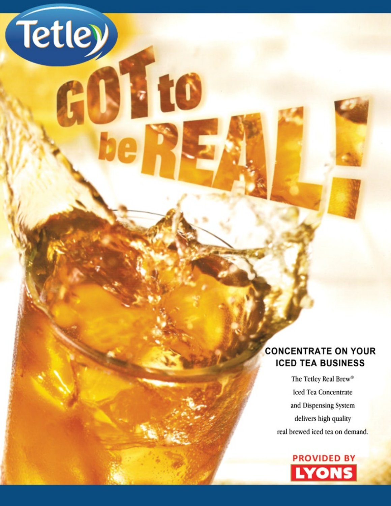

Tetley)

N 10

The Tetley Real Brew® Iced Tea Concentrate and Dispensing System delivers high quality real brewed iced tea on demand.